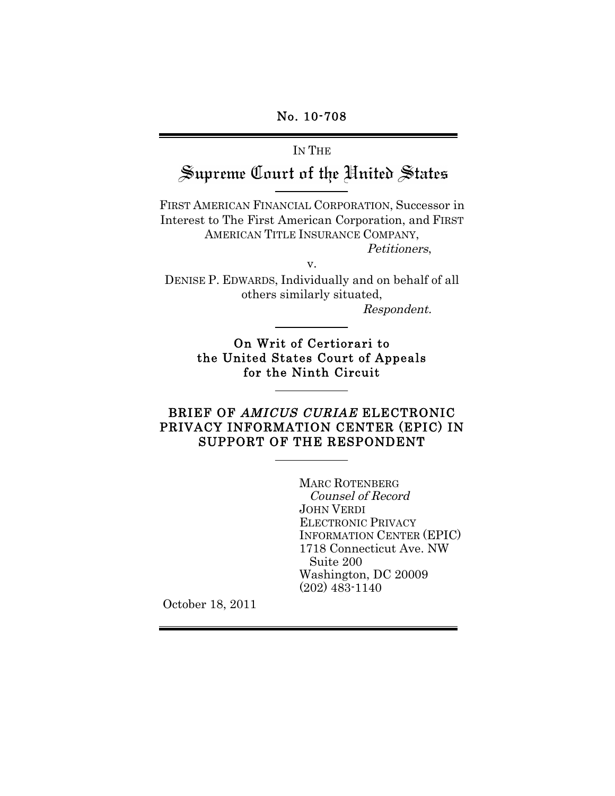# IN THE Supreme Court of the United States

FIRST AMERICAN FINANCIAL CORPORATION, Successor in Interest to The First American Corporation, and FIRST AMERICAN TITLE INSURANCE COMPANY,

Petitioners,

v.

DENISE P. EDWARDS, Individually and on behalf of all others similarly situated,

Respondent.

On Writ of Certiorari to the United States Court of Appeals for the Ninth Circuit

### BRIEF OF AMICUS CURIAE ELECTRONIC PRIVACY INFORMATION CENTER (EPIC) IN SUPPORT OF THE RESPONDENT

MARC ROTENBERG Counsel of Record JOHN VERDI ELECTRONIC PRIVACY INFORMATION CENTER (EPIC) 1718 Connecticut Ave. NW Suite 200 Washington, DC 20009 (202) 483-1140

October 18, 2011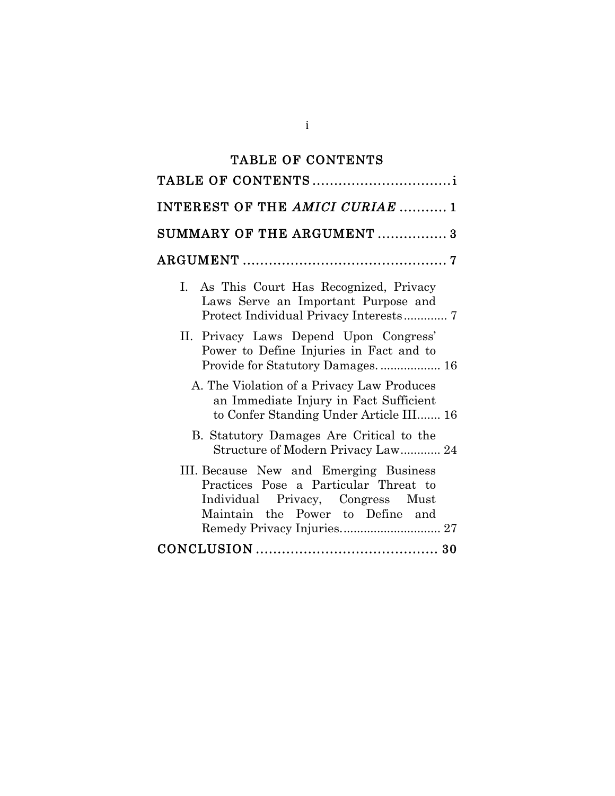# TABLE OF CONTENTS

| INTEREST OF THE AMICI CURIAE  1                                                                                                                                                        |
|----------------------------------------------------------------------------------------------------------------------------------------------------------------------------------------|
| SUMMARY OF THE ARGUMENT  3                                                                                                                                                             |
|                                                                                                                                                                                        |
| I. As This Court Has Recognized, Privacy<br>Laws Serve an Important Purpose and                                                                                                        |
| II. Privacy Laws Depend Upon Congress'<br>Power to Define Injuries in Fact and to                                                                                                      |
| A. The Violation of a Privacy Law Produces<br>an Immediate Injury in Fact Sufficient<br>to Confer Standing Under Article III 16                                                        |
| B. Statutory Damages Are Critical to the<br>Structure of Modern Privacy Law 24                                                                                                         |
| III. Because New and Emerging Business<br>Practices Pose a Particular Threat to<br>Individual Privacy, Congress Must<br>Maintain the Power to Define and<br>Remedy Privacy Injuries 27 |
|                                                                                                                                                                                        |

i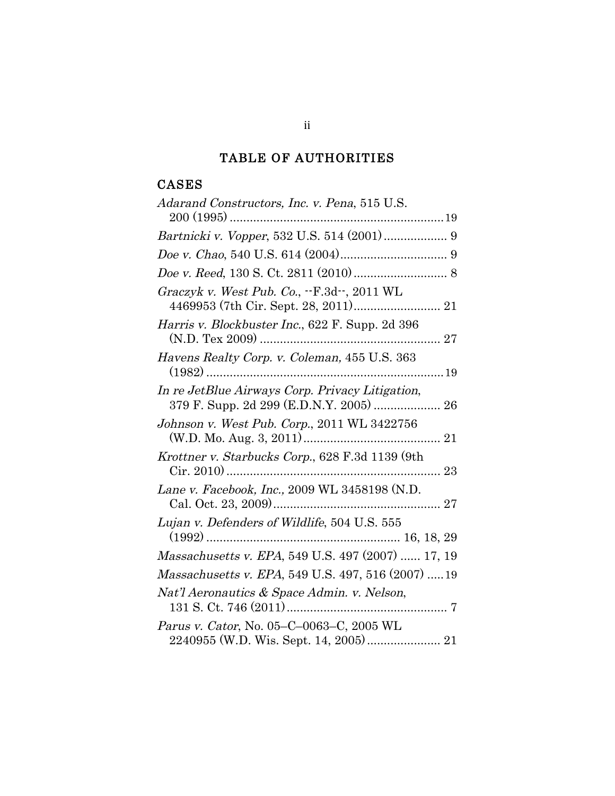# TABLE OF AUTHORITIES

# CASES

| Adarand Constructors, Inc. v. Pena, 515 U.S.       |
|----------------------------------------------------|
|                                                    |
| Bartnicki v. Vopper, 532 U.S. 514 (2001) 9         |
|                                                    |
|                                                    |
| Graczyk v. West Pub. Co., .-F.3d--, 2011 WL        |
| Harris v. Blockbuster Inc., 622 F. Supp. 2d 396    |
| Havens Realty Corp. v. Coleman, 455 U.S. 363       |
| In re JetBlue Airways Corp. Privacy Litigation,    |
| Johnson v. West Pub. Corp., 2011 WL 3422756        |
| Krottner v. Starbucks Corp., 628 F.3d 1139 (9th    |
| Lane v. Facebook, Inc., 2009 WL 3458198 (N.D.      |
| Lujan v. Defenders of Wildlife, 504 U.S. 555       |
| Massachusetts v. EPA, 549 U.S. 497 (2007)  17, 19  |
| Massachusetts v. EPA, 549 U.S. 497, 516 (2007)  19 |
| Nat'l Aeronautics & Space Admin. v. Nelson,        |
| Parus v. Cator, No. 05–C–0063–C, 2005 WL           |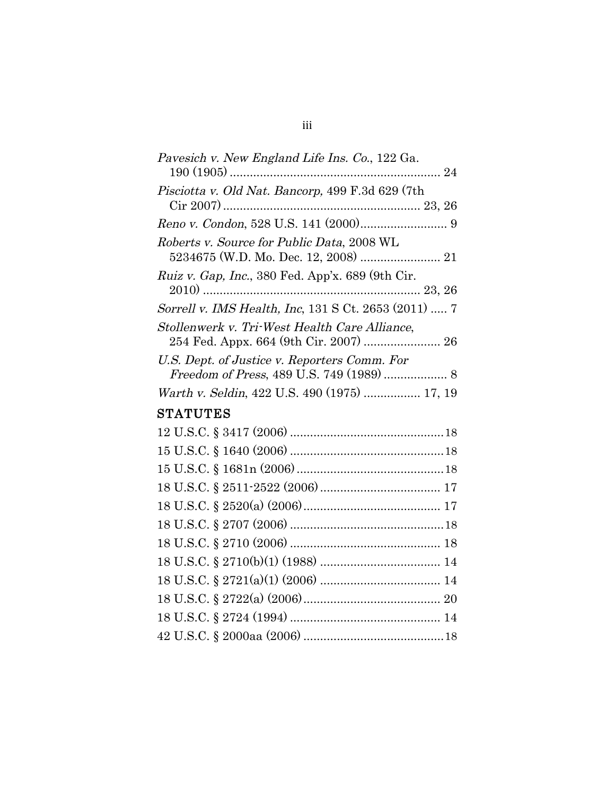| Pavesich v. New England Life Ins. Co., 122 Ga.           |  |
|----------------------------------------------------------|--|
|                                                          |  |
| Pisciotta v. Old Nat. Bancorp, 499 F.3d 629 (7th         |  |
|                                                          |  |
|                                                          |  |
| Roberts v. Source for Public Data, 2008 WL               |  |
| 5234675 (W.D. Mo. Dec. 12, 2008)  21                     |  |
| <i>Ruiz v. Gap, Inc.</i> , 380 Fed. App'x. 689 (9th Cir. |  |
|                                                          |  |
| Sorrell v. IMS Health, Inc. 131 S Ct. 2653 (2011)  7     |  |
| Stollenwerk v. Tri-West Health Care Alliance,            |  |
| 254 Fed. Appx. 664 (9th Cir. 2007)  26                   |  |
| U.S. Dept. of Justice v. Reporters Comm. For             |  |
|                                                          |  |
| Warth v. Seldin, 422 U.S. 490 (1975)  17, 19             |  |
|                                                          |  |

# **STATUTES**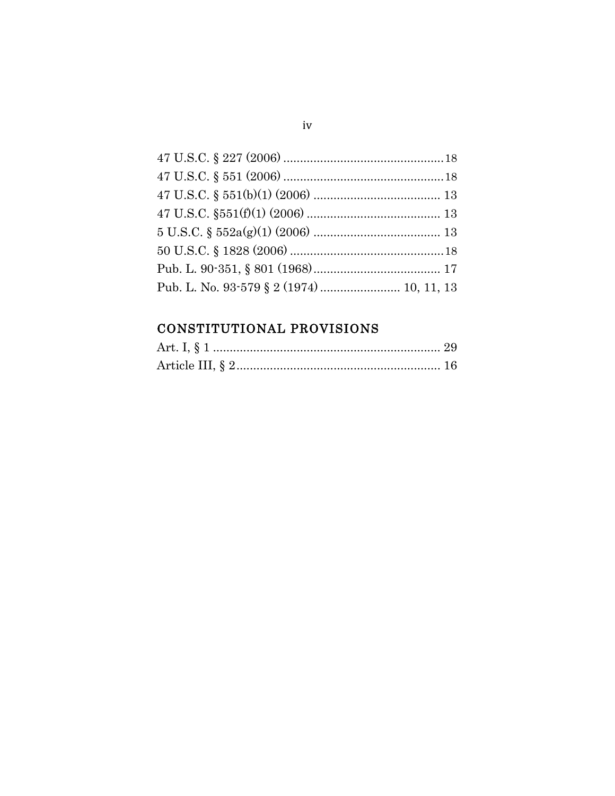| Pub. L. No. 93-579 § 2 (1974) 10, 11, 13 |  |
|------------------------------------------|--|

# CONSTITUTIONAL PROVISIONS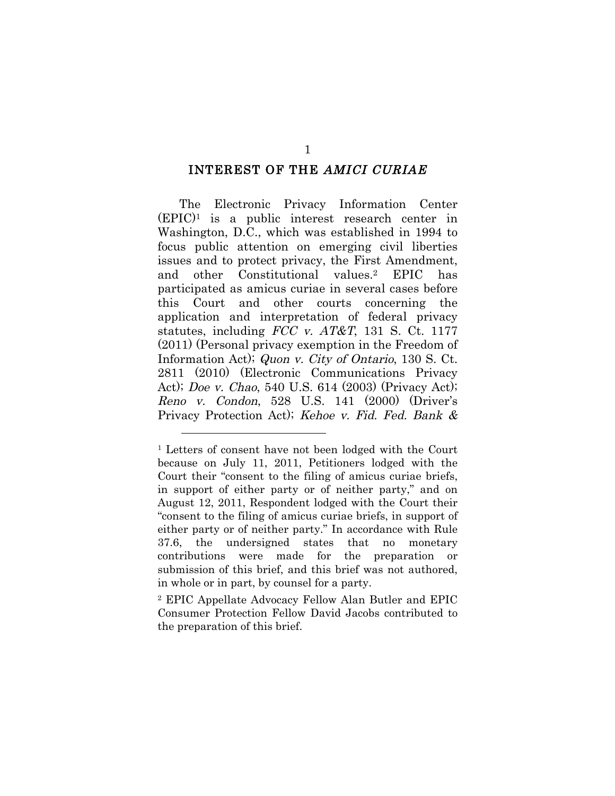#### INTEREST OF THE AMICI CURIAE

The Electronic Privacy Information Center (EPIC)1 is a public interest research center in Washington, D.C., which was established in 1994 to focus public attention on emerging civil liberties issues and to protect privacy, the First Amendment, and other Constitutional values.2 EPIC has participated as amicus curiae in several cases before this Court and other courts concerning the application and interpretation of federal privacy statutes, including  $FCC$  v.  $AT&T$ , 131 S. Ct. 1177 (2011) (Personal privacy exemption in the Freedom of Information Act); Quon v. City of Ontario, 130 S. Ct. 2811 (2010) (Electronic Communications Privacy Act); Doe v. Chao, 540 U.S. 614 (2003) (Privacy Act); Reno v. Condon, 528 U.S. 141 (2000) (Driver's Privacy Protection Act); Kehoe v. Fid. Fed. Bank &

2 EPIC Appellate Advocacy Fellow Alan Butler and EPIC Consumer Protection Fellow David Jacobs contributed to the preparation of this brief.

<sup>1</sup> Letters of consent have not been lodged with the Court because on July 11, 2011, Petitioners lodged with the Court their "consent to the filing of amicus curiae briefs, in support of either party or of neither party," and on August 12, 2011, Respondent lodged with the Court their "consent to the filing of amicus curiae briefs, in support of either party or of neither party." In accordance with Rule 37.6, the undersigned states that no monetary contributions were made for the preparation or submission of this brief, and this brief was not authored, in whole or in part, by counsel for a party.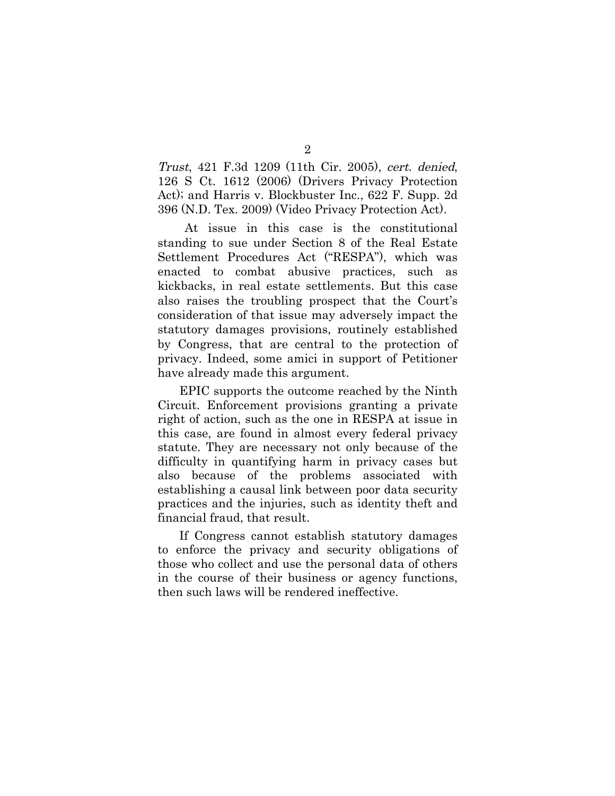Trust, 421 F.3d 1209 (11th Cir. 2005), cert. denied, 126 S Ct. 1612 (2006) (Drivers Privacy Protection Act); and Harris v. Blockbuster Inc., 622 F. Supp. 2d 396 (N.D. Tex. 2009) (Video Privacy Protection Act).

At issue in this case is the constitutional standing to sue under Section 8 of the Real Estate Settlement Procedures Act ("RESPA"), which was enacted to combat abusive practices, such as kickbacks, in real estate settlements. But this case also raises the troubling prospect that the Court's consideration of that issue may adversely impact the statutory damages provisions, routinely established by Congress, that are central to the protection of privacy. Indeed, some amici in support of Petitioner have already made this argument.

EPIC supports the outcome reached by the Ninth Circuit. Enforcement provisions granting a private right of action, such as the one in RESPA at issue in this case, are found in almost every federal privacy statute. They are necessary not only because of the difficulty in quantifying harm in privacy cases but also because of the problems associated with establishing a causal link between poor data security practices and the injuries, such as identity theft and financial fraud, that result.

If Congress cannot establish statutory damages to enforce the privacy and security obligations of those who collect and use the personal data of others in the course of their business or agency functions, then such laws will be rendered ineffective.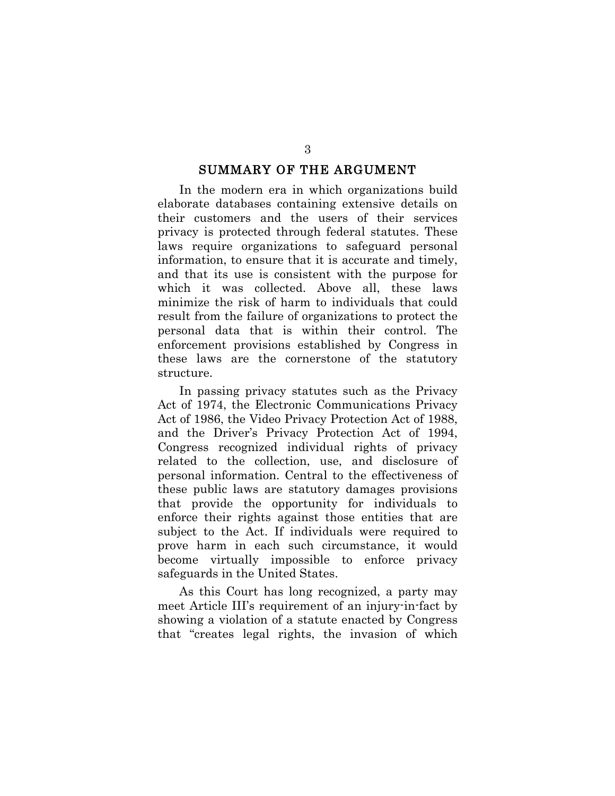#### SUMMARY OF THE ARGUMENT

In the modern era in which organizations build elaborate databases containing extensive details on their customers and the users of their services privacy is protected through federal statutes. These laws require organizations to safeguard personal information, to ensure that it is accurate and timely, and that its use is consistent with the purpose for which it was collected. Above all, these laws minimize the risk of harm to individuals that could result from the failure of organizations to protect the personal data that is within their control. The enforcement provisions established by Congress in these laws are the cornerstone of the statutory structure.

In passing privacy statutes such as the Privacy Act of 1974, the Electronic Communications Privacy Act of 1986, the Video Privacy Protection Act of 1988, and the Driver's Privacy Protection Act of 1994, Congress recognized individual rights of privacy related to the collection, use, and disclosure of personal information. Central to the effectiveness of these public laws are statutory damages provisions that provide the opportunity for individuals to enforce their rights against those entities that are subject to the Act. If individuals were required to prove harm in each such circumstance, it would become virtually impossible to enforce privacy safeguards in the United States.

As this Court has long recognized, a party may meet Article III's requirement of an injury-in-fact by showing a violation of a statute enacted by Congress that "creates legal rights, the invasion of which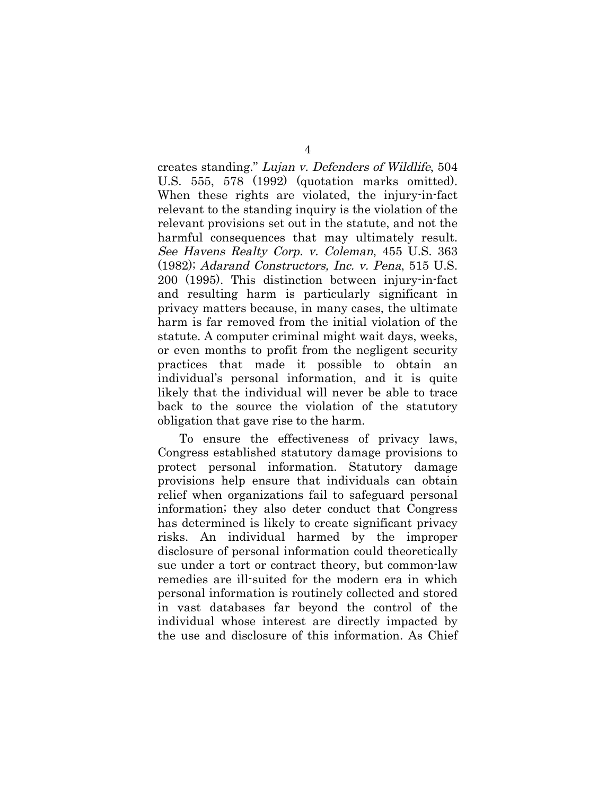creates standing." Lujan v. Defenders of Wildlife, 504 U.S. 555, 578 (1992) (quotation marks omitted). When these rights are violated, the injury-in-fact relevant to the standing inquiry is the violation of the relevant provisions set out in the statute, and not the harmful consequences that may ultimately result. See Havens Realty Corp. v. Coleman, 455 U.S. 363 (1982); Adarand Constructors, Inc. v. Pena, 515 U.S. 200 (1995). This distinction between injury-in-fact and resulting harm is particularly significant in privacy matters because, in many cases, the ultimate harm is far removed from the initial violation of the statute. A computer criminal might wait days, weeks, or even months to profit from the negligent security practices that made it possible to obtain an individual's personal information, and it is quite likely that the individual will never be able to trace back to the source the violation of the statutory obligation that gave rise to the harm.

To ensure the effectiveness of privacy laws, Congress established statutory damage provisions to protect personal information. Statutory damage provisions help ensure that individuals can obtain relief when organizations fail to safeguard personal information; they also deter conduct that Congress has determined is likely to create significant privacy risks. An individual harmed by the improper disclosure of personal information could theoretically sue under a tort or contract theory, but common-law remedies are ill-suited for the modern era in which personal information is routinely collected and stored in vast databases far beyond the control of the individual whose interest are directly impacted by the use and disclosure of this information. As Chief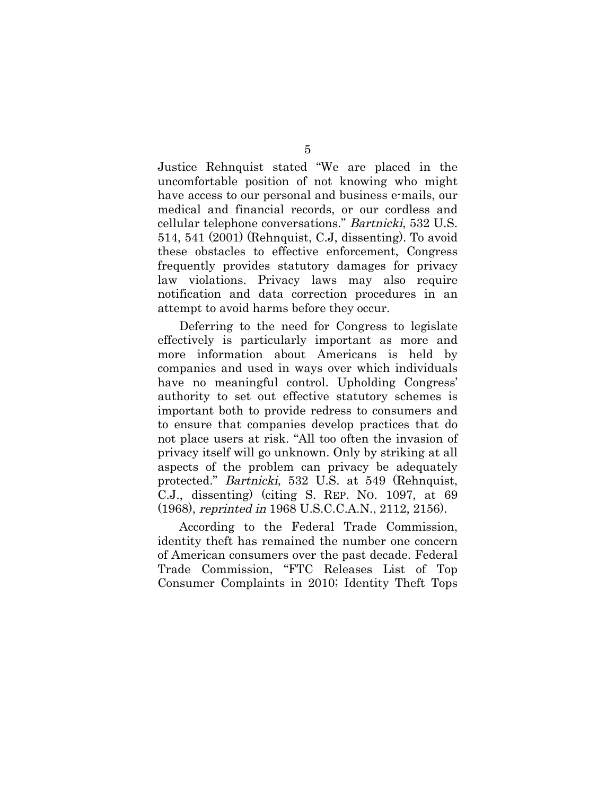Justice Rehnquist stated "We are placed in the uncomfortable position of not knowing who might have access to our personal and business e-mails, our medical and financial records, or our cordless and cellular telephone conversations." Bartnicki, 532 U.S. 514, 541 (2001) (Rehnquist, C.J, dissenting). To avoid these obstacles to effective enforcement, Congress frequently provides statutory damages for privacy law violations. Privacy laws may also require notification and data correction procedures in an attempt to avoid harms before they occur.

Deferring to the need for Congress to legislate effectively is particularly important as more and more information about Americans is held by companies and used in ways over which individuals have no meaningful control. Upholding Congress' authority to set out effective statutory schemes is important both to provide redress to consumers and to ensure that companies develop practices that do not place users at risk. "All too often the invasion of privacy itself will go unknown. Only by striking at all aspects of the problem can privacy be adequately protected." Bartnicki, 532 U.S. at 549 (Rehnquist, C.J., dissenting) (citing S. REP. NO. 1097, at 69 (1968), reprinted in 1968 U.S.C.C.A.N., 2112, 2156).

According to the Federal Trade Commission, identity theft has remained the number one concern of American consumers over the past decade. Federal Trade Commission, "FTC Releases List of Top Consumer Complaints in 2010; Identity Theft Tops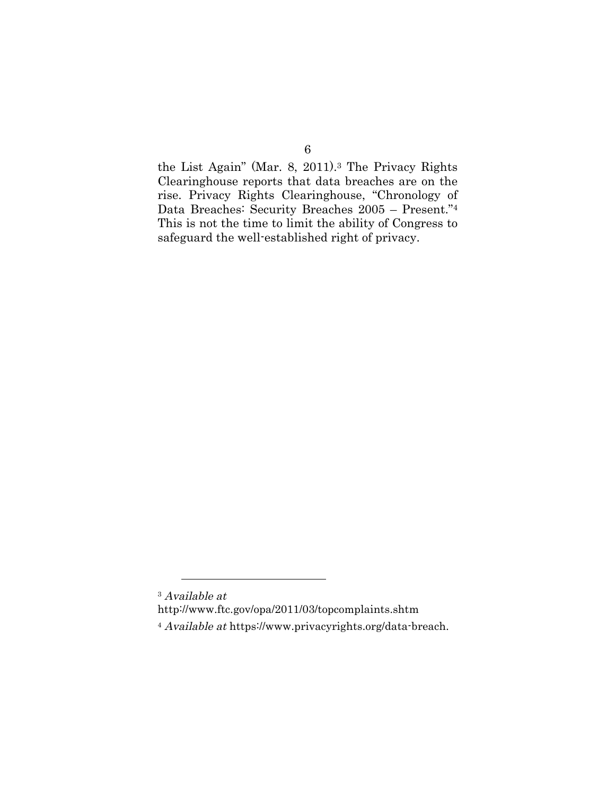the List Again" (Mar. 8, 2011).3 The Privacy Rights Clearinghouse reports that data breaches are on the rise. Privacy Rights Clearinghouse, "Chronology of Data Breaches: Security Breaches 2005 – Present."4 This is not the time to limit the ability of Congress to safeguard the well-established right of privacy.

<sup>3</sup> Available at http://www.ftc.gov/opa/2011/03/topcomplaints.shtm <sup>4</sup> Available at https://www.privacyrights.org/data-breach.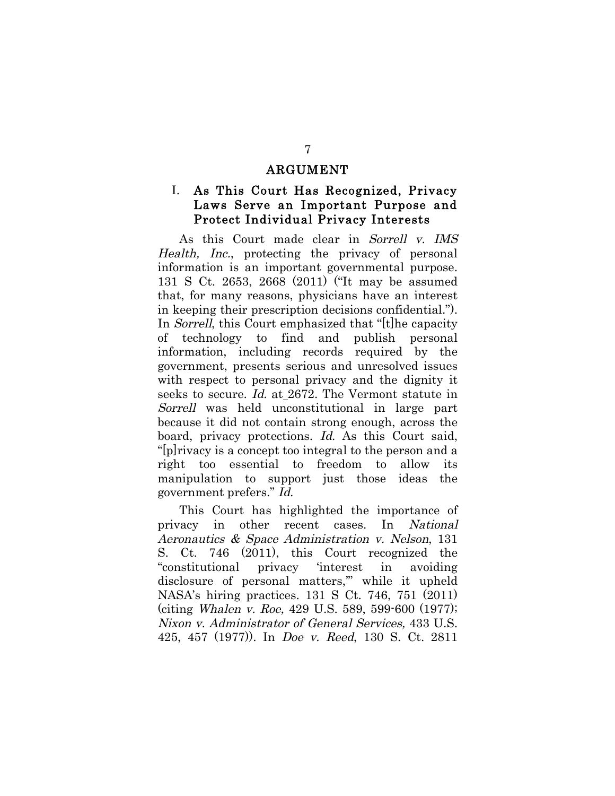#### ARGUMENT

### I. As This Court Has Recognized, Privacy Laws Serve an Important Purpose and Protect Individual Privacy Interests

As this Court made clear in Sorrell v. IMS Health, Inc., protecting the privacy of personal information is an important governmental purpose. 131 S Ct. 2653, 2668 (2011) ("It may be assumed that, for many reasons, physicians have an interest in keeping their prescription decisions confidential."). In *Sorrell*, this Court emphasized that "[t]he capacity of technology to find and publish personal information, including records required by the government, presents serious and unresolved issues with respect to personal privacy and the dignity it seeks to secure. Id. at 2672. The Vermont statute in Sorrell was held unconstitutional in large part because it did not contain strong enough, across the board, privacy protections. Id. As this Court said, "[p]rivacy is a concept too integral to the person and a right too essential to freedom to allow its manipulation to support just those ideas the government prefers." Id.

This Court has highlighted the importance of privacy in other recent cases. In National Aeronautics & Space Administration v. Nelson, 131 S. Ct. 746 (2011), this Court recognized the "constitutional privacy 'interest in avoiding disclosure of personal matters,'" while it upheld NASA's hiring practices. 131 S Ct. 746, 751 (2011) (citing Whalen v. Roe, 429 U.S. 589, 599-600 (1977); Nixon v. Administrator of General Services, 433 U.S. 425, 457 (1977)). In Doe v. Reed, 130 S. Ct. 2811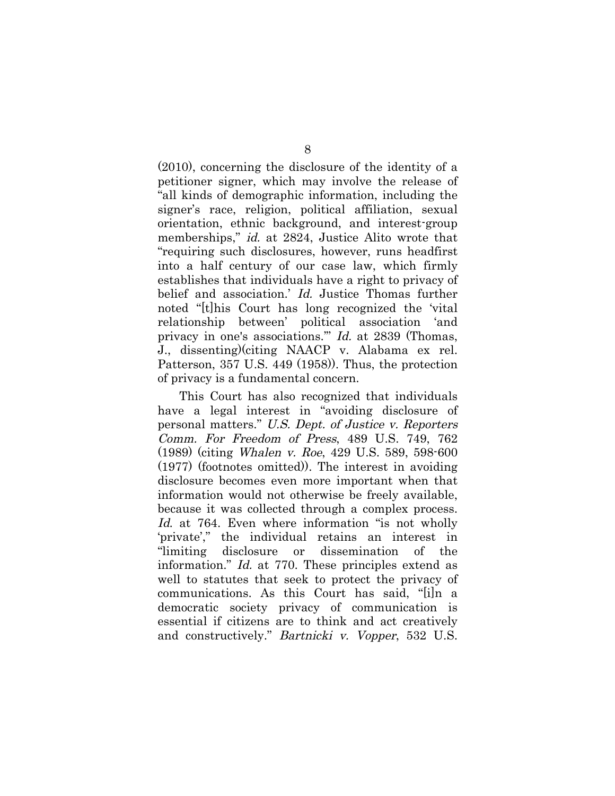(2010), concerning the disclosure of the identity of a petitioner signer, which may involve the release of "all kinds of demographic information, including the signer's race, religion, political affiliation, sexual orientation, ethnic background, and interest-group memberships," *id.* at 2824, Justice Alito wrote that "requiring such disclosures, however, runs headfirst into a half century of our case law, which firmly establishes that individuals have a right to privacy of belief and association.' Id. Justice Thomas further noted "[t]his Court has long recognized the 'vital relationship between' political association 'and privacy in one's associations.'" Id. at 2839 (Thomas, J., dissenting)(citing NAACP v. Alabama ex rel. Patterson, 357 U.S. 449 (1958)). Thus, the protection of privacy is a fundamental concern.

This Court has also recognized that individuals have a legal interest in "avoiding disclosure of personal matters." U.S. Dept. of Justice v. Reporters Comm. For Freedom of Press, 489 U.S. 749, 762 (1989) (citing Whalen v. Roe, 429 U.S. 589, 598-600 (1977) (footnotes omitted)). The interest in avoiding disclosure becomes even more important when that information would not otherwise be freely available, because it was collected through a complex process. Id. at 764. Even where information "is not wholly 'private'," the individual retains an interest in "limiting disclosure or dissemination of the information." Id. at 770. These principles extend as well to statutes that seek to protect the privacy of communications. As this Court has said, "[i]n a democratic society privacy of communication is essential if citizens are to think and act creatively and constructively." Bartnicki v. Vopper, 532 U.S.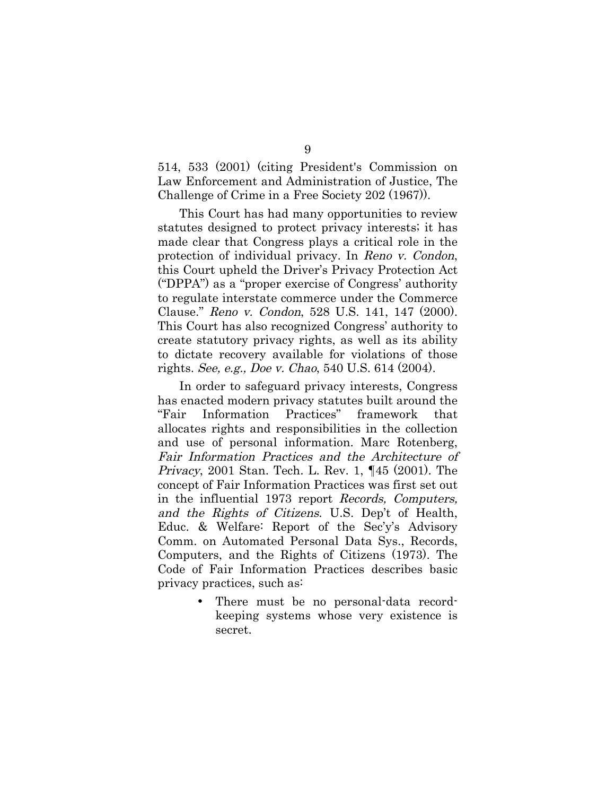514, 533 (2001) (citing President's Commission on Law Enforcement and Administration of Justice, The Challenge of Crime in a Free Society 202 (1967)).

This Court has had many opportunities to review statutes designed to protect privacy interests; it has made clear that Congress plays a critical role in the protection of individual privacy. In Reno v. Condon, this Court upheld the Driver's Privacy Protection Act ("DPPA") as a "proper exercise of Congress' authority to regulate interstate commerce under the Commerce Clause." Reno v. Condon, 528 U.S. 141, 147 (2000). This Court has also recognized Congress' authority to create statutory privacy rights, as well as its ability to dictate recovery available for violations of those rights. See, e.g., Doe v. Chao, 540 U.S. 614 (2004).

In order to safeguard privacy interests, Congress has enacted modern privacy statutes built around the "Fair Information Practices" framework that allocates rights and responsibilities in the collection and use of personal information. Marc Rotenberg, Fair Information Practices and the Architecture of Privacy, 2001 Stan. Tech. L. Rev. 1, ¶45 (2001). The concept of Fair Information Practices was first set out in the influential 1973 report Records, Computers, and the Rights of Citizens. U.S. Dep't of Health, Educ. & Welfare: Report of the Sec'y's Advisory Comm. on Automated Personal Data Sys., Records, Computers, and the Rights of Citizens (1973). The Code of Fair Information Practices describes basic privacy practices, such as:

> There must be no personal-data recordkeeping systems whose very existence is secret.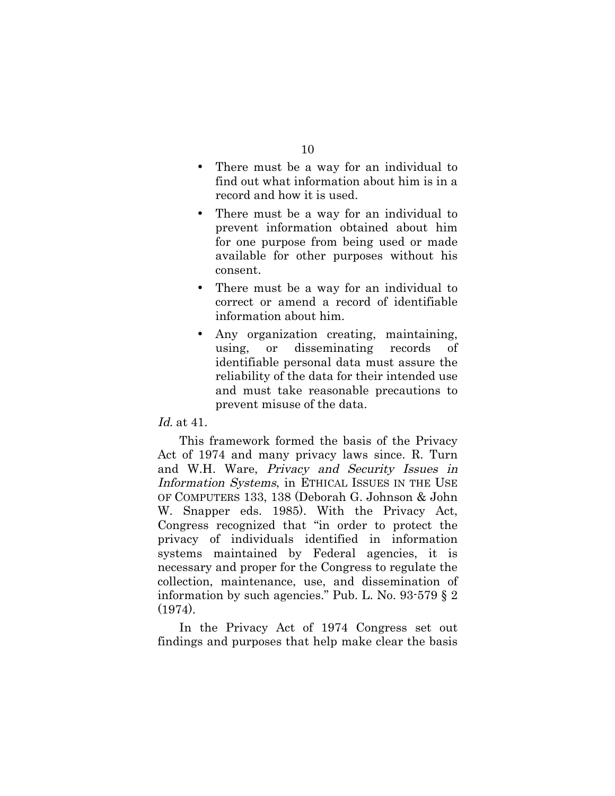- There must be a way for an individual to find out what information about him is in a record and how it is used.
- There must be a way for an individual to prevent information obtained about him for one purpose from being used or made available for other purposes without his consent.
- There must be a way for an individual to correct or amend a record of identifiable information about him.
- Any organization creating, maintaining, using, or disseminating records of identifiable personal data must assure the reliability of the data for their intended use and must take reasonable precautions to prevent misuse of the data.

#### Id. at 41.

This framework formed the basis of the Privacy Act of 1974 and many privacy laws since. R. Turn and W.H. Ware, Privacy and Security Issues in Information Systems, in ETHICAL ISSUES IN THE USE OF COMPUTERS 133, 138 (Deborah G. Johnson & John W. Snapper eds. 1985). With the Privacy Act, Congress recognized that "in order to protect the privacy of individuals identified in information systems maintained by Federal agencies, it is necessary and proper for the Congress to regulate the collection, maintenance, use, and dissemination of information by such agencies." Pub. L. No. 93-579 § 2 (1974).

In the Privacy Act of 1974 Congress set out findings and purposes that help make clear the basis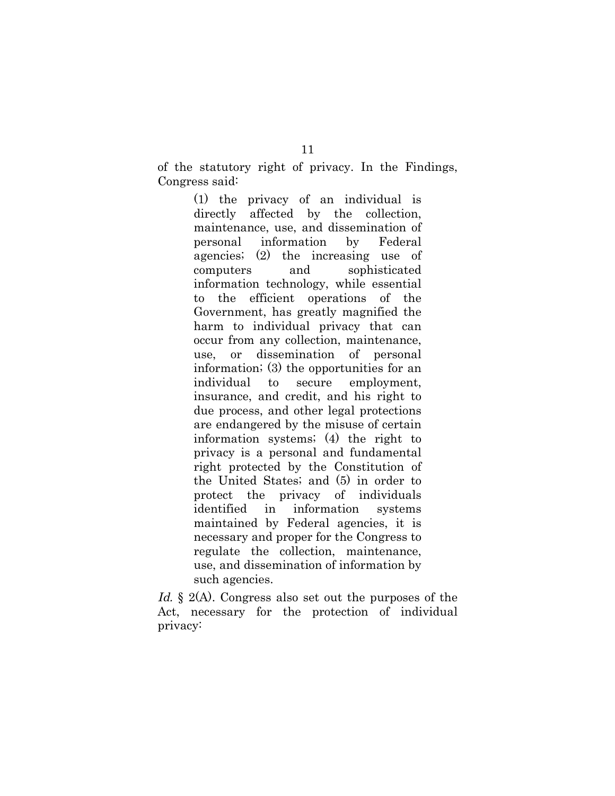of the statutory right of privacy. In the Findings, Congress said:

> (1) the privacy of an individual is directly affected by the collection, maintenance, use, and dissemination of personal information by Federal agencies; (2) the increasing use of computers and sophisticated information technology, while essential to the efficient operations of the Government, has greatly magnified the harm to individual privacy that can occur from any collection, maintenance, use, or dissemination of personal information; (3) the opportunities for an individual to secure employment, insurance, and credit, and his right to due process, and other legal protections are endangered by the misuse of certain information systems; (4) the right to privacy is a personal and fundamental right protected by the Constitution of the United States; and (5) in order to protect the privacy of individuals identified in information systems maintained by Federal agencies, it is necessary and proper for the Congress to regulate the collection, maintenance, use, and dissemination of information by such agencies.

Id. § 2(A). Congress also set out the purposes of the Act, necessary for the protection of individual privacy: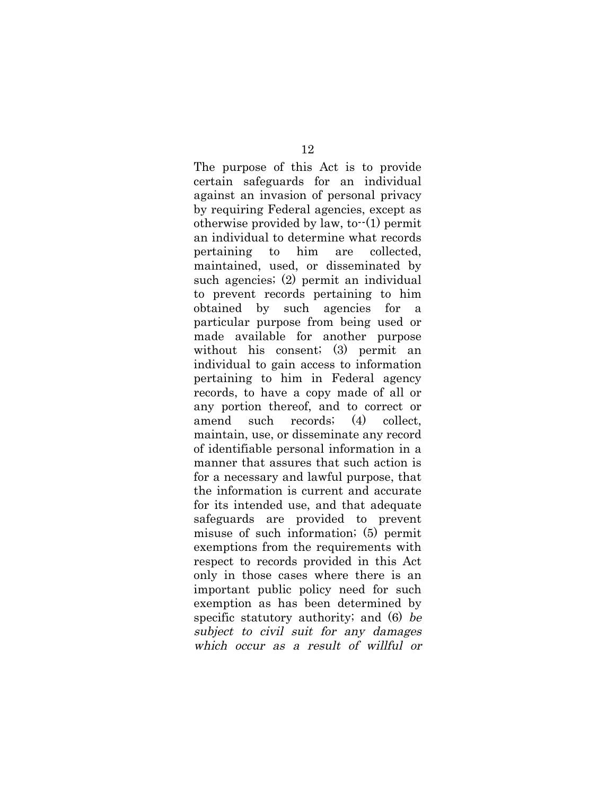The purpose of this Act is to provide certain safeguards for an individual against an invasion of personal privacy by requiring Federal agencies, except as otherwise provided by law, to $-(1)$  permit an individual to determine what records pertaining to him are collected, maintained, used, or disseminated by such agencies; (2) permit an individual to prevent records pertaining to him obtained by such agencies for a particular purpose from being used or made available for another purpose without his consent; (3) permit an individual to gain access to information pertaining to him in Federal agency records, to have a copy made of all or any portion thereof, and to correct or amend such records; (4) collect, maintain, use, or disseminate any record of identifiable personal information in a manner that assures that such action is for a necessary and lawful purpose, that the information is current and accurate for its intended use, and that adequate safeguards are provided to prevent misuse of such information; (5) permit exemptions from the requirements with respect to records provided in this Act only in those cases where there is an important public policy need for such exemption as has been determined by specific statutory authority; and (6) be subject to civil suit for any damages which occur as a result of willful or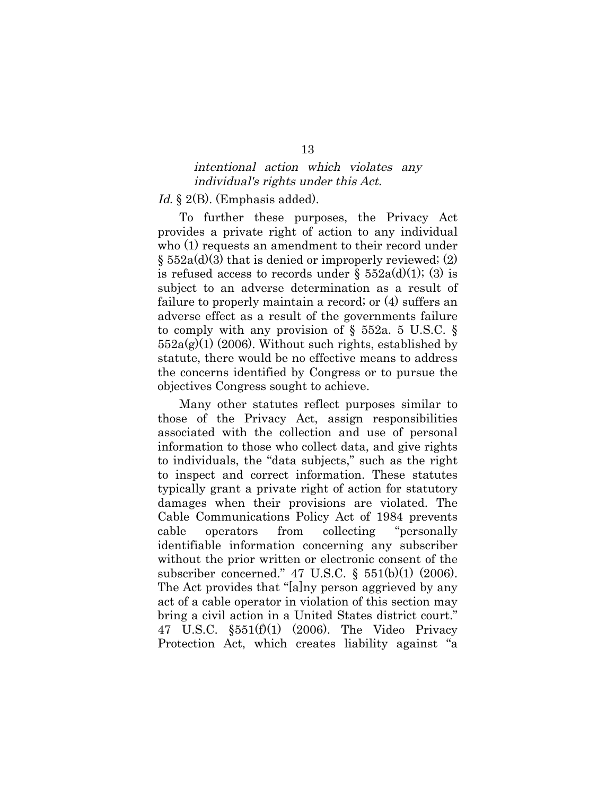#### intentional action which violates any individual's rights under this Act.

#### Id. § 2(B). (Emphasis added).

To further these purposes, the Privacy Act provides a private right of action to any individual who (1) requests an amendment to their record under  $\S$  552a(d)(3) that is denied or improperly reviewed; (2) is refused access to records under  $\S$  552a(d)(1); (3) is subject to an adverse determination as a result of failure to properly maintain a record; or (4) suffers an adverse effect as a result of the governments failure to comply with any provision of § 552a. 5 U.S.C. §  $552a(g)(1)$  (2006). Without such rights, established by statute, there would be no effective means to address the concerns identified by Congress or to pursue the objectives Congress sought to achieve.

Many other statutes reflect purposes similar to those of the Privacy Act, assign responsibilities associated with the collection and use of personal information to those who collect data, and give rights to individuals, the "data subjects," such as the right to inspect and correct information. These statutes typically grant a private right of action for statutory damages when their provisions are violated. The Cable Communications Policy Act of 1984 prevents cable operators from collecting "personally identifiable information concerning any subscriber without the prior written or electronic consent of the subscriber concerned." 47 U.S.C. § 551(b)(1) (2006). The Act provides that "[a]ny person aggrieved by any act of a cable operator in violation of this section may bring a civil action in a United States district court." 47 U.S.C. §551(f)(1) (2006). The Video Privacy Protection Act, which creates liability against "a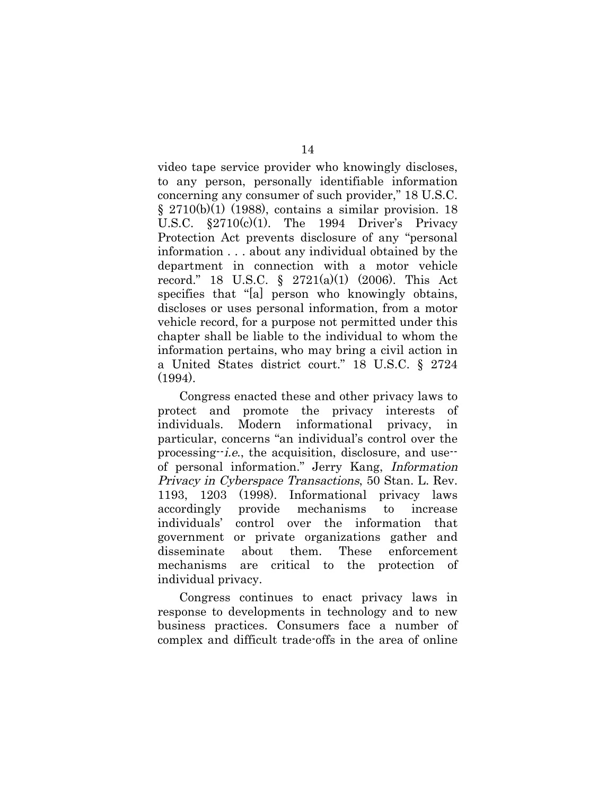video tape service provider who knowingly discloses, to any person, personally identifiable information concerning any consumer of such provider," 18 U.S.C.  $\S$  2710(b)(1) (1988), contains a similar provision. 18 U.S.C.  $\S 2710(c)(1)$ . The 1994 Driver's Privacy Protection Act prevents disclosure of any "personal information . . . about any individual obtained by the department in connection with a motor vehicle record." 18 U.S.C. § 2721(a)(1) (2006). This Act specifies that "[a] person who knowingly obtains, discloses or uses personal information, from a motor vehicle record, for a purpose not permitted under this chapter shall be liable to the individual to whom the information pertains, who may bring a civil action in a United States district court." 18 U.S.C. § 2724 (1994).

Congress enacted these and other privacy laws to protect and promote the privacy interests of individuals. Modern informational privacy, in particular, concerns "an individual's control over the processing--i.e., the acquisition, disclosure, and use- of personal information." Jerry Kang, Information Privacy in Cyberspace Transactions, 50 Stan. L. Rev. 1193, 1203 (1998). Informational privacy laws accordingly provide mechanisms to increase individuals' control over the information that government or private organizations gather and disseminate about them. These enforcement mechanisms are critical to the protection of individual privacy.

Congress continues to enact privacy laws in response to developments in technology and to new business practices. Consumers face a number of complex and difficult trade-offs in the area of online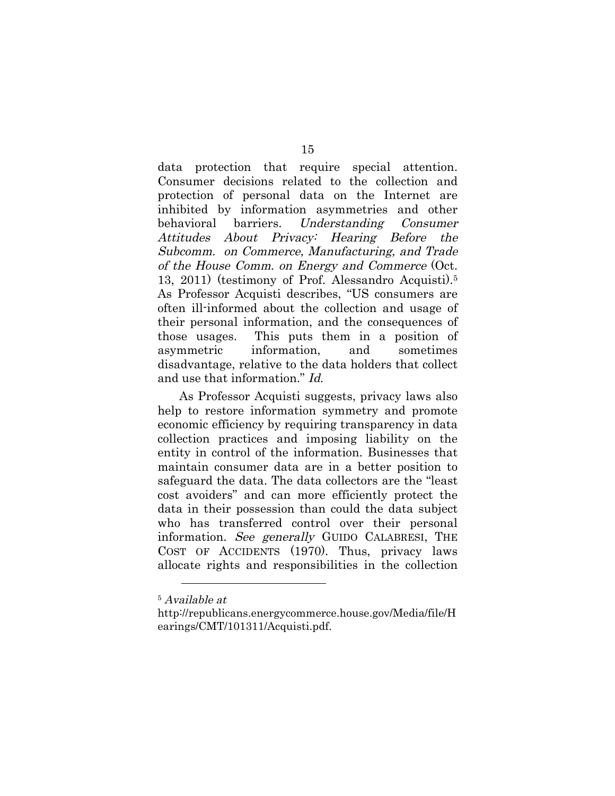data protection that require special attention. Consumer decisions related to the collection and protection of personal data on the Internet are inhibited by information asymmetries and other behavioral barriers. Understanding Consumer Attitudes About Privacy: Hearing Before the Subcomm. on Commerce, Manufacturing, and Trade of the House Comm. on Energy and Commerce (Oct. 13, 2011) (testimony of Prof. Alessandro Acquisti).5 As Professor Acquisti describes, "US consumers are often ill-informed about the collection and usage of their personal information, and the consequences of those usages. This puts them in a position of asymmetric information, and sometimes disadvantage, relative to the data holders that collect and use that information." Id.

As Professor Acquisti suggests, privacy laws also help to restore information symmetry and promote economic efficiency by requiring transparency in data collection practices and imposing liability on the entity in control of the information. Businesses that maintain consumer data are in a better position to safeguard the data. The data collectors are the "least cost avoiders" and can more efficiently protect the data in their possession than could the data subject who has transferred control over their personal information. See generally GUIDO CALABRESI, THE COST OF ACCIDENTS (1970). Thus, privacy laws allocate rights and responsibilities in the collection

<sup>5</sup> Available at

http://republicans.energycommerce.house.gov/Media/file/H earings/CMT/101311/Acquisti.pdf.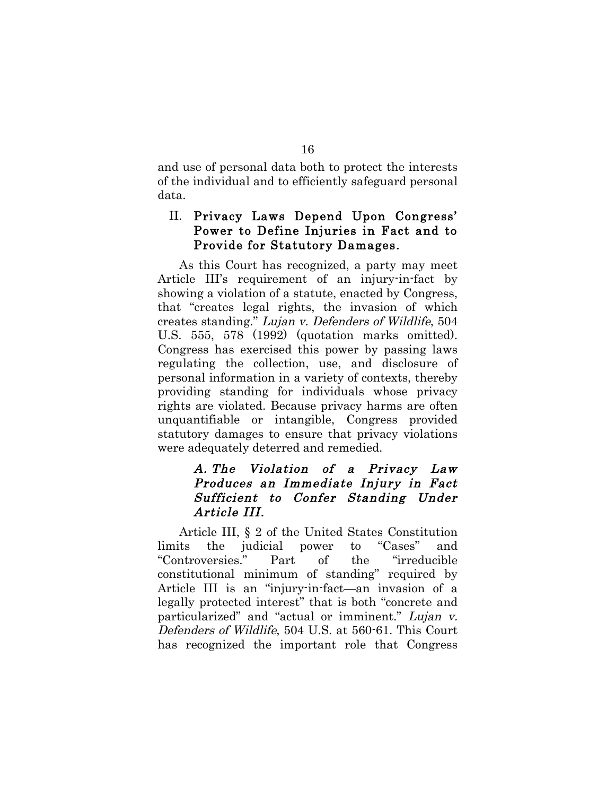and use of personal data both to protect the interests of the individual and to efficiently safeguard personal data.

### II. Privacy Laws Depend Upon Congress' Power to Define Injuries in Fact and to Provide for Statutory Damages.

As this Court has recognized, a party may meet Article III's requirement of an injury-in-fact by showing a violation of a statute, enacted by Congress, that "creates legal rights, the invasion of which creates standing." Lujan v. Defenders of Wildlife, 504 U.S. 555, 578 (1992) (quotation marks omitted). Congress has exercised this power by passing laws regulating the collection, use, and disclosure of personal information in a variety of contexts, thereby providing standing for individuals whose privacy rights are violated. Because privacy harms are often unquantifiable or intangible, Congress provided statutory damages to ensure that privacy violations were adequately deterred and remedied.

### A. The Violation of a Privacy Law Produces an Immediate Injury in Fact Sufficient to Confer Standing Under Article III.

Article III, § 2 of the United States Constitution limits the judicial power to "Cases" and "Controversies." Part of the "irreducible constitutional minimum of standing" required by Article III is an "injury-in-fact—an invasion of a legally protected interest" that is both "concrete and particularized" and "actual or imminent." Lujan v. Defenders of Wildlife, 504 U.S. at 560-61. This Court has recognized the important role that Congress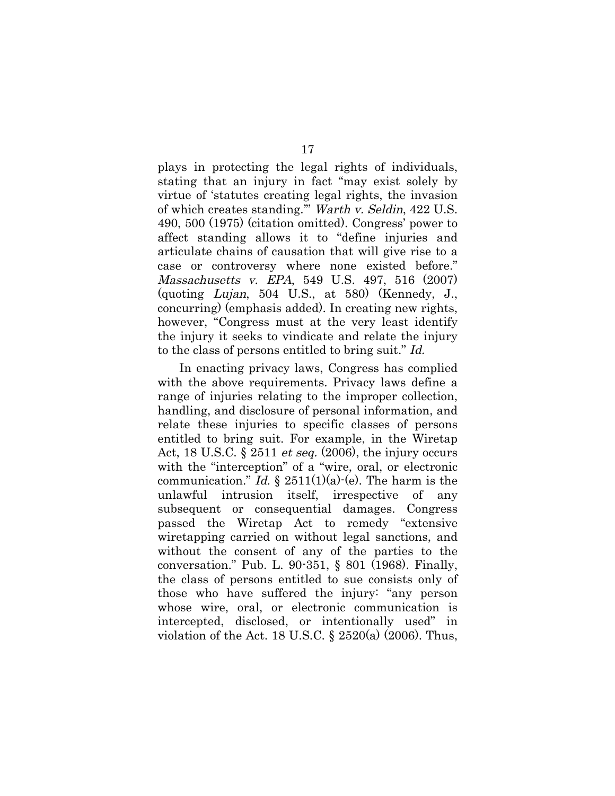plays in protecting the legal rights of individuals, stating that an injury in fact "may exist solely by virtue of 'statutes creating legal rights, the invasion of which creates standing.'" Warth v. Seldin, 422 U.S. 490, 500 (1975) (citation omitted). Congress' power to affect standing allows it to "define injuries and articulate chains of causation that will give rise to a case or controversy where none existed before." Massachusetts v. EPA, 549 U.S. 497, 516 (2007) (quoting Lujan, 504 U.S., at 580) (Kennedy, J., concurring) (emphasis added). In creating new rights, however, "Congress must at the very least identify the injury it seeks to vindicate and relate the injury to the class of persons entitled to bring suit." Id.

In enacting privacy laws, Congress has complied with the above requirements. Privacy laws define a range of injuries relating to the improper collection, handling, and disclosure of personal information, and relate these injuries to specific classes of persons entitled to bring suit. For example, in the Wiretap Act, 18 U.S.C.  $\S 2511$  *et seq.* (2006), the injury occurs with the "interception" of a "wire, oral, or electronic communication." Id.  $\S 2511(1)(a)-(e)$ . The harm is the unlawful intrusion itself, irrespective of any subsequent or consequential damages. Congress passed the Wiretap Act to remedy "extensive wiretapping carried on without legal sanctions, and without the consent of any of the parties to the conversation." Pub. L. 90-351, § 801 (1968). Finally, the class of persons entitled to sue consists only of those who have suffered the injury: "any person whose wire, oral, or electronic communication is intercepted, disclosed, or intentionally used" in violation of the Act. 18 U.S.C.  $\S$  2520(a) (2006). Thus,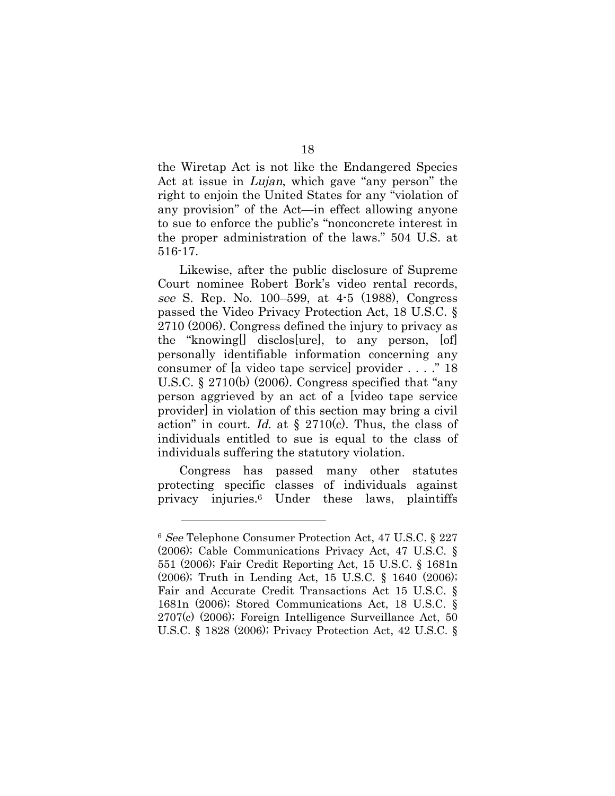the Wiretap Act is not like the Endangered Species Act at issue in *Lujan*, which gave "any person" the right to enjoin the United States for any "violation of any provision" of the Act—in effect allowing anyone to sue to enforce the public's "nonconcrete interest in the proper administration of the laws." 504 U.S. at 516-17.

Likewise, after the public disclosure of Supreme Court nominee Robert Bork's video rental records, see S. Rep. No. 100–599, at 4-5 (1988), Congress passed the Video Privacy Protection Act, 18 U.S.C. § 2710 (2006). Congress defined the injury to privacy as the "knowing[] disclos[ure], to any person, [of] personally identifiable information concerning any consumer of [a video tape service] provider . . . ." 18 U.S.C. § 2710(b) (2006). Congress specified that "any person aggrieved by an act of a [video tape service provider] in violation of this section may bring a civil action" in court. Id. at  $\S$  2710(c). Thus, the class of individuals entitled to sue is equal to the class of individuals suffering the statutory violation.

Congress has passed many other statutes protecting specific classes of individuals against privacy injuries.6 Under these laws, plaintiffs

<sup>6</sup> See Telephone Consumer Protection Act, 47 U.S.C. § 227 (2006); Cable Communications Privacy Act, 47 U.S.C. § 551 (2006); Fair Credit Reporting Act, 15 U.S.C. § 1681n (2006); Truth in Lending Act, 15 U.S.C. § 1640 (2006); Fair and Accurate Credit Transactions Act 15 U.S.C. § 1681n (2006); Stored Communications Act, 18 U.S.C. § 2707(c) (2006); Foreign Intelligence Surveillance Act, 50 U.S.C. § 1828 (2006); Privacy Protection Act, 42 U.S.C. §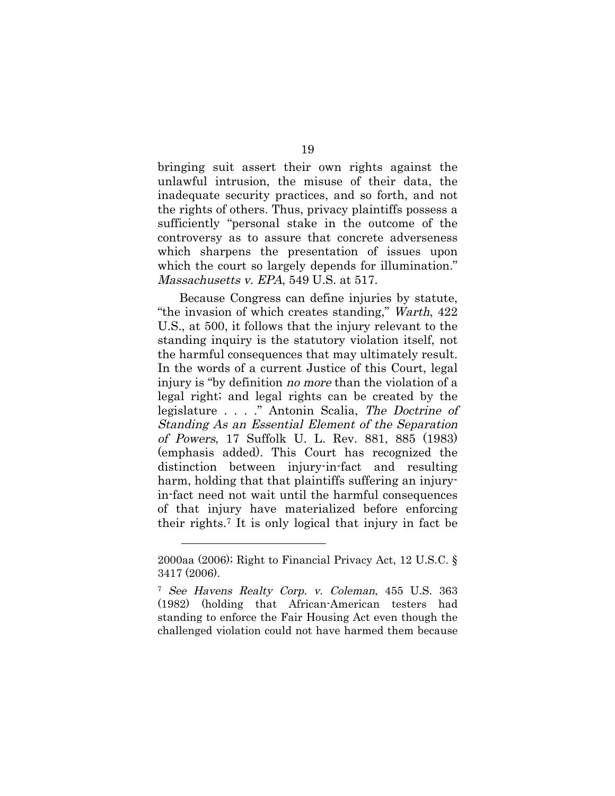bringing suit assert their own rights against the unlawful intrusion, the misuse of their data, the inadequate security practices, and so forth, and not the rights of others. Thus, privacy plaintiffs possess a sufficiently "personal stake in the outcome of the controversy as to assure that concrete adverseness which sharpens the presentation of issues upon which the court so largely depends for illumination." Massachusetts v. EPA, 549 U.S. at 517.

Because Congress can define injuries by statute, "the invasion of which creates standing," Warth, 422 U.S., at 500, it follows that the injury relevant to the standing inquiry is the statutory violation itself, not the harmful consequences that may ultimately result. In the words of a current Justice of this Court, legal injury is "by definition no more than the violation of a legal right; and legal rights can be created by the legislature . . . ." Antonin Scalia, The Doctrine of Standing As an Essential Element of the Separation of Powers, 17 Suffolk U. L. Rev. 881, 885 (1983) (emphasis added). This Court has recognized the distinction between injury-in-fact and resulting harm, holding that that plaintiffs suffering an injuryin-fact need not wait until the harmful consequences of that injury have materialized before enforcing their rights.7 It is only logical that injury in fact be

<sup>2000</sup>aa (2006); Right to Financial Privacy Act, 12 U.S.C. § 3417 (2006).

<sup>7</sup> See Havens Realty Corp. v. Coleman, 455 U.S. 363 (1982) (holding that African-American testers had standing to enforce the Fair Housing Act even though the challenged violation could not have harmed them because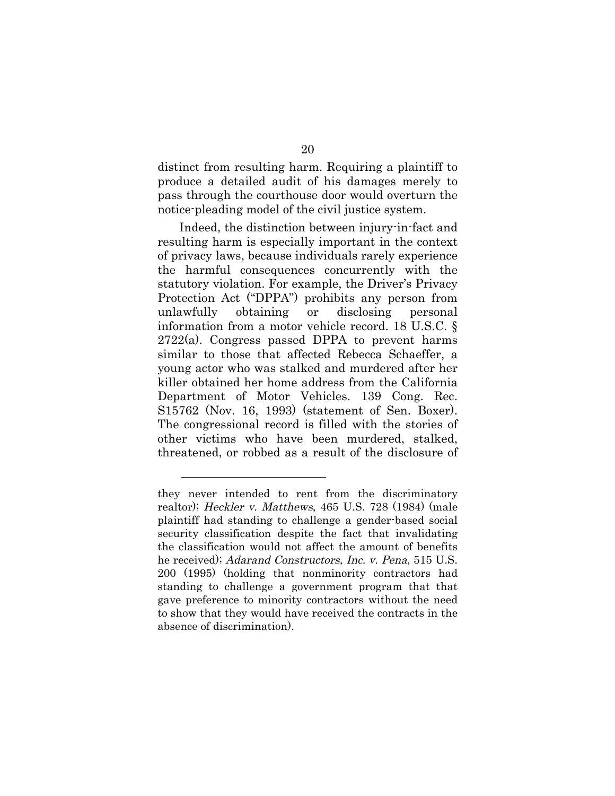distinct from resulting harm. Requiring a plaintiff to produce a detailed audit of his damages merely to pass through the courthouse door would overturn the notice-pleading model of the civil justice system.

Indeed, the distinction between injury-in-fact and resulting harm is especially important in the context of privacy laws, because individuals rarely experience the harmful consequences concurrently with the statutory violation. For example, the Driver's Privacy Protection Act ("DPPA") prohibits any person from unlawfully obtaining or disclosing personal information from a motor vehicle record. 18 U.S.C. § 2722(a). Congress passed DPPA to prevent harms similar to those that affected Rebecca Schaeffer, a young actor who was stalked and murdered after her killer obtained her home address from the California Department of Motor Vehicles. 139 Cong. Rec. S15762 (Nov. 16, 1993) (statement of Sen. Boxer). The congressional record is filled with the stories of other victims who have been murdered, stalked, threatened, or robbed as a result of the disclosure of

they never intended to rent from the discriminatory realtor); Heckler v. Matthews, 465 U.S. 728 (1984) (male plaintiff had standing to challenge a gender-based social security classification despite the fact that invalidating the classification would not affect the amount of benefits he received); Adarand Constructors, Inc. v. Pena, 515 U.S. 200 (1995) (holding that nonminority contractors had standing to challenge a government program that that gave preference to minority contractors without the need to show that they would have received the contracts in the absence of discrimination).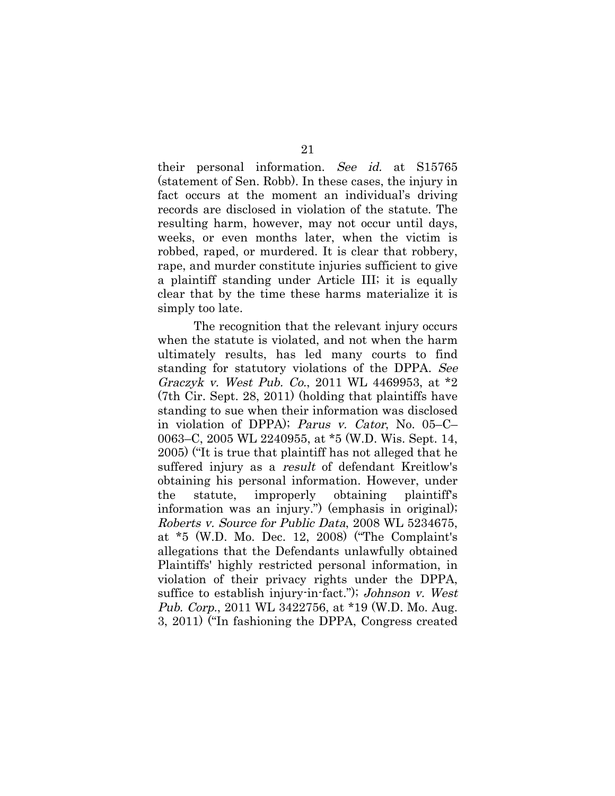their personal information. See id. at S15765 (statement of Sen. Robb). In these cases, the injury in fact occurs at the moment an individual's driving records are disclosed in violation of the statute. The resulting harm, however, may not occur until days, weeks, or even months later, when the victim is robbed, raped, or murdered. It is clear that robbery, rape, and murder constitute injuries sufficient to give a plaintiff standing under Article III; it is equally clear that by the time these harms materialize it is simply too late.

The recognition that the relevant injury occurs when the statute is violated, and not when the harm ultimately results, has led many courts to find standing for statutory violations of the DPPA. See Graczyk v. West Pub. Co., 2011 WL 4469953, at \*2 (7th Cir. Sept. 28, 2011) (holding that plaintiffs have standing to sue when their information was disclosed in violation of DPPA); Parus v. Cator, No. 05–C– 0063–C, 2005 WL 2240955, at \*5 (W.D. Wis. Sept. 14, 2005) ("It is true that plaintiff has not alleged that he suffered injury as a *result* of defendant Kreitlow's obtaining his personal information. However, under the statute, improperly obtaining plaintiff's information was an injury.") (emphasis in original); Roberts v. Source for Public Data, 2008 WL 5234675, at \*5 (W.D. Mo. Dec. 12, 2008) ("The Complaint's allegations that the Defendants unlawfully obtained Plaintiffs' highly restricted personal information, in violation of their privacy rights under the DPPA, suffice to establish injury-in-fact."); *Johnson v. West* Pub. Corp., 2011 WL 3422756, at \*19 (W.D. Mo. Aug. 3, 2011) ("In fashioning the DPPA, Congress created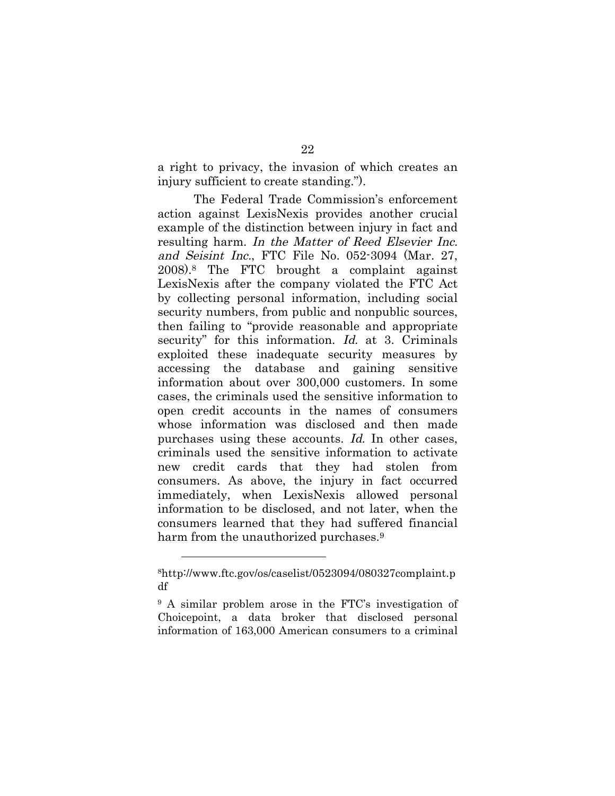a right to privacy, the invasion of which creates an injury sufficient to create standing.").

The Federal Trade Commission's enforcement action against LexisNexis provides another crucial example of the distinction between injury in fact and resulting harm. In the Matter of Reed Elsevier Inc. and Seisint Inc., FTC File No. 052-3094 (Mar. 27, 2008).8 The FTC brought a complaint against LexisNexis after the company violated the FTC Act by collecting personal information, including social security numbers, from public and nonpublic sources, then failing to "provide reasonable and appropriate security" for this information. Id. at 3. Criminals exploited these inadequate security measures by accessing the database and gaining sensitive information about over 300,000 customers. In some cases, the criminals used the sensitive information to open credit accounts in the names of consumers whose information was disclosed and then made purchases using these accounts. Id. In other cases, criminals used the sensitive information to activate new credit cards that they had stolen from consumers. As above, the injury in fact occurred immediately, when LexisNexis allowed personal information to be disclosed, and not later, when the consumers learned that they had suffered financial harm from the unauthorized purchases.<sup>9</sup>

<sup>8</sup>http://www.ftc.gov/os/caselist/0523094/080327complaint.p df

<sup>9</sup> A similar problem arose in the FTC's investigation of Choicepoint, a data broker that disclosed personal information of 163,000 American consumers to a criminal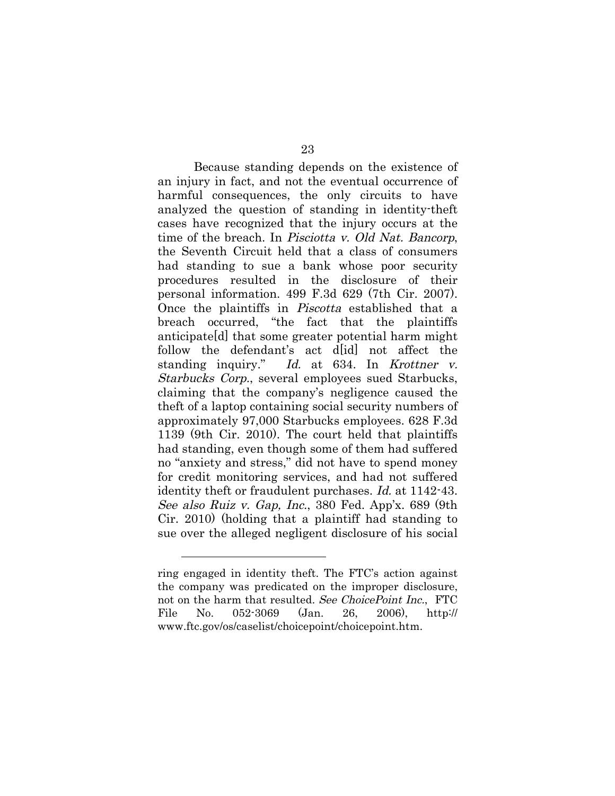Because standing depends on the existence of an injury in fact, and not the eventual occurrence of harmful consequences, the only circuits to have analyzed the question of standing in identity-theft cases have recognized that the injury occurs at the time of the breach. In Pisciotta v. Old Nat. Bancorp, the Seventh Circuit held that a class of consumers had standing to sue a bank whose poor security procedures resulted in the disclosure of their personal information. 499 F.3d 629 (7th Cir. 2007). Once the plaintiffs in Piscotta established that a breach occurred, "the fact that the plaintiffs anticipate[d] that some greater potential harm might follow the defendant's act d[id] not affect the standing inquiry." Id. at 634. In Krottner v. Starbucks Corp., several employees sued Starbucks, claiming that the company's negligence caused the theft of a laptop containing social security numbers of approximately 97,000 Starbucks employees. 628 F.3d 1139 (9th Cir. 2010). The court held that plaintiffs had standing, even though some of them had suffered no "anxiety and stress," did not have to spend money for credit monitoring services, and had not suffered identity theft or fraudulent purchases. *Id.* at 1142-43. See also Ruiz v. Gap, Inc., 380 Fed. App'x. 689 (9th Cir. 2010) (holding that a plaintiff had standing to sue over the alleged negligent disclosure of his social

ring engaged in identity theft. The FTC's action against the company was predicated on the improper disclosure, not on the harm that resulted. See ChoicePoint Inc., FTC File No. 052-3069 (Jan. 26, 2006), http:// www.ftc.gov/os/caselist/choicepoint/choicepoint.htm.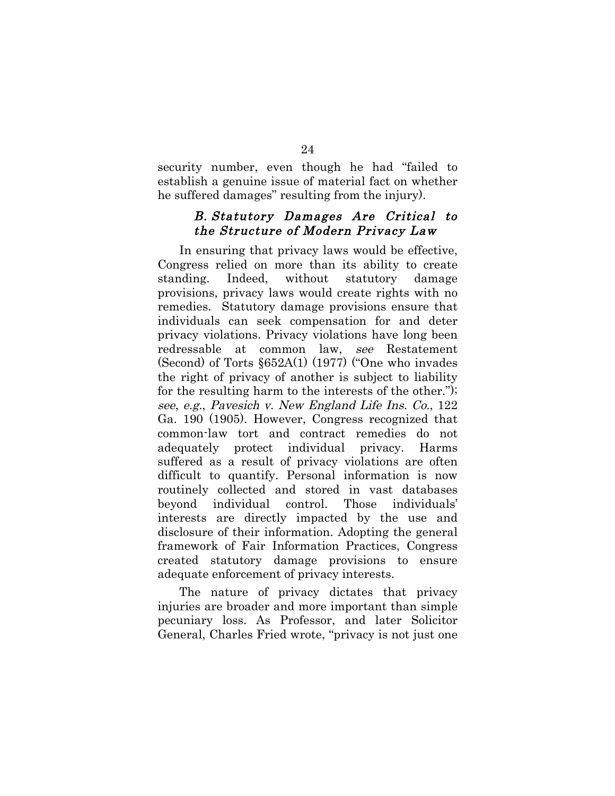security number, even though he had "failed to establish a genuine issue of material fact on whether he suffered damages" resulting from the injury).

#### B. Statutory Damages Are Critical to the Structure of Modern Privacy Law

In ensuring that privacy laws would be effective, Congress relied on more than its ability to create standing. Indeed, without statutory damage provisions, privacy laws would create rights with no remedies. Statutory damage provisions ensure that individuals can seek compensation for and deter privacy violations. Privacy violations have long been redressable at common law, see Restatement (Second) of Torts §652A(1) (1977) ("One who invades the right of privacy of another is subject to liability for the resulting harm to the interests of the other."); see, e.g., Pavesich v. New England Life Ins. Co., 122 Ga. 190 (1905). However, Congress recognized that common-law tort and contract remedies do not adequately protect individual privacy. Harms suffered as a result of privacy violations are often difficult to quantify. Personal information is now routinely collected and stored in vast databases beyond individual control. Those individuals' interests are directly impacted by the use and disclosure of their information. Adopting the general framework of Fair Information Practices, Congress created statutory damage provisions to ensure adequate enforcement of privacy interests.

The nature of privacy dictates that privacy injuries are broader and more important than simple pecuniary loss. As Professor, and later Solicitor General, Charles Fried wrote, "privacy is not just one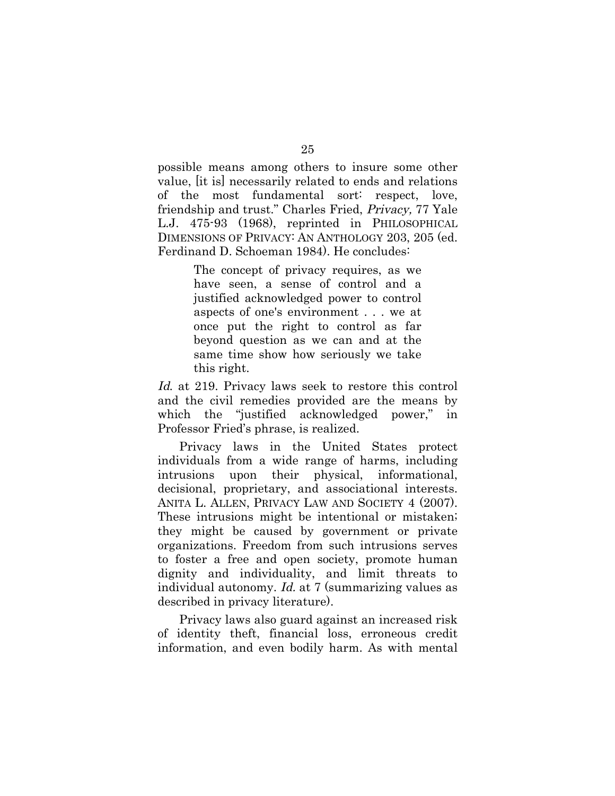possible means among others to insure some other value, [it is] necessarily related to ends and relations of the most fundamental sort: respect, love, friendship and trust." Charles Fried, Privacy, 77 Yale L.J. 475-93 (1968), reprinted in PHILOSOPHICAL DIMENSIONS OF PRIVACY: AN ANTHOLOGY 203, 205 (ed. Ferdinand D. Schoeman 1984). He concludes:

> The concept of privacy requires, as we have seen, a sense of control and a justified acknowledged power to control aspects of one's environment . . . we at once put the right to control as far beyond question as we can and at the same time show how seriously we take this right.

Id. at 219. Privacy laws seek to restore this control and the civil remedies provided are the means by which the "justified acknowledged power," in Professor Fried's phrase, is realized.

Privacy laws in the United States protect individuals from a wide range of harms, including intrusions upon their physical, informational, decisional, proprietary, and associational interests. ANITA L. ALLEN, PRIVACY LAW AND SOCIETY 4 (2007). These intrusions might be intentional or mistaken; they might be caused by government or private organizations. Freedom from such intrusions serves to foster a free and open society, promote human dignity and individuality, and limit threats to individual autonomy. Id. at 7 (summarizing values as described in privacy literature).

Privacy laws also guard against an increased risk of identity theft, financial loss, erroneous credit information, and even bodily harm. As with mental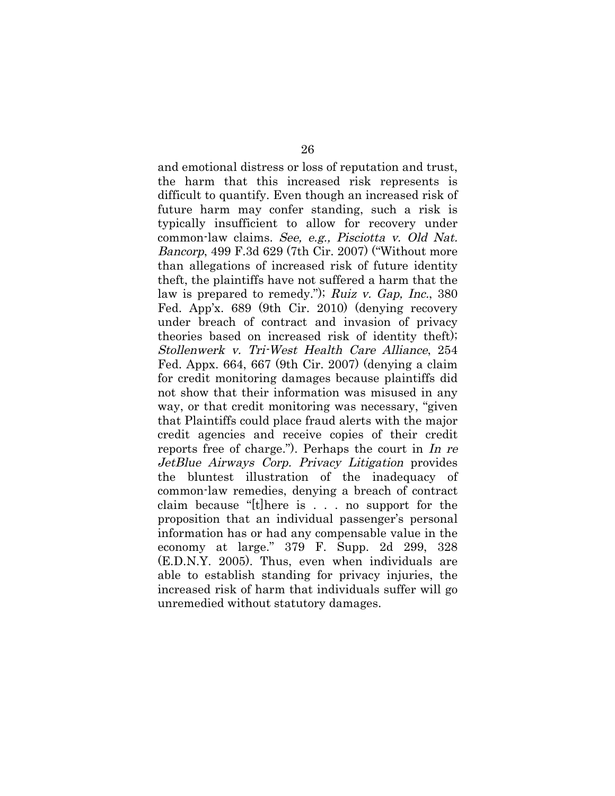and emotional distress or loss of reputation and trust, the harm that this increased risk represents is difficult to quantify. Even though an increased risk of future harm may confer standing, such a risk is typically insufficient to allow for recovery under common-law claims. See, e.g., Pisciotta v. Old Nat. Bancorp, 499 F.3d 629 (7th Cir. 2007) ("Without more than allegations of increased risk of future identity theft, the plaintiffs have not suffered a harm that the law is prepared to remedy."); Ruiz v. Gap, Inc., 380 Fed. App'x. 689 (9th Cir. 2010) (denying recovery under breach of contract and invasion of privacy theories based on increased risk of identity theft); Stollenwerk v. Tri-West Health Care Alliance, 254 Fed. Appx. 664, 667 (9th Cir. 2007) (denying a claim for credit monitoring damages because plaintiffs did not show that their information was misused in any way, or that credit monitoring was necessary, "given that Plaintiffs could place fraud alerts with the major credit agencies and receive copies of their credit reports free of charge."). Perhaps the court in In re JetBlue Airways Corp. Privacy Litigation provides the bluntest illustration of the inadequacy of common-law remedies, denying a breach of contract claim because "[t]here is . . . no support for the proposition that an individual passenger's personal information has or had any compensable value in the economy at large." 379 F. Supp. 2d 299, 328 (E.D.N.Y. 2005). Thus, even when individuals are able to establish standing for privacy injuries, the increased risk of harm that individuals suffer will go unremedied without statutory damages.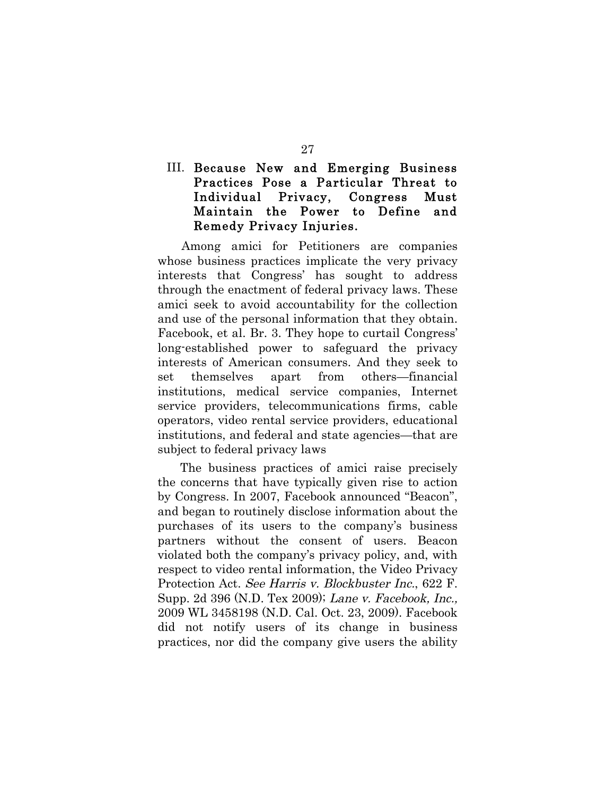### III. Because New and Emerging Business Practices Pose a Particular Threat to Individual Privacy, Congress Must Maintain the Power to Define and Remedy Privacy Injuries.

Among amici for Petitioners are companies whose business practices implicate the very privacy interests that Congress' has sought to address through the enactment of federal privacy laws. These amici seek to avoid accountability for the collection and use of the personal information that they obtain. Facebook, et al. Br. 3. They hope to curtail Congress' long-established power to safeguard the privacy interests of American consumers. And they seek to set themselves apart from others—financial institutions, medical service companies, Internet service providers, telecommunications firms, cable operators, video rental service providers, educational institutions, and federal and state agencies—that are subject to federal privacy laws

The business practices of amici raise precisely the concerns that have typically given rise to action by Congress. In 2007, Facebook announced "Beacon", and began to routinely disclose information about the purchases of its users to the company's business partners without the consent of users. Beacon violated both the company's privacy policy, and, with respect to video rental information, the Video Privacy Protection Act. See Harris v. Blockbuster Inc., 622 F. Supp. 2d 396 (N.D. Tex 2009); Lane v. Facebook, Inc., 2009 WL 3458198 (N.D. Cal. Oct. 23, 2009). Facebook did not notify users of its change in business practices, nor did the company give users the ability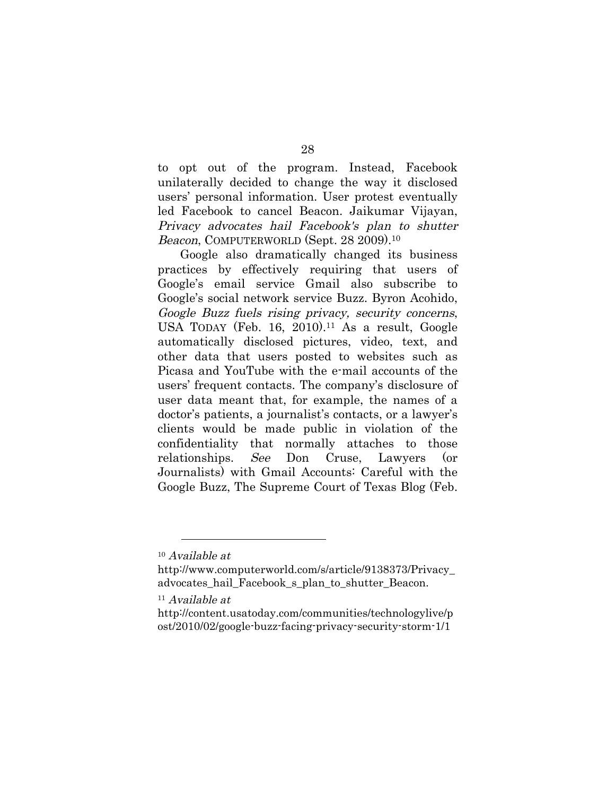to opt out of the program. Instead, Facebook unilaterally decided to change the way it disclosed users' personal information. User protest eventually led Facebook to cancel Beacon. Jaikumar Vijayan, Privacy advocates hail Facebook's plan to shutter Beacon, COMPUTERWORLD (Sept. 28 2009).<sup>10</sup>

Google also dramatically changed its business practices by effectively requiring that users of Google's email service Gmail also subscribe to Google's social network service Buzz. Byron Acohido, Google Buzz fuels rising privacy, security concerns, USA TODAY (Feb. 16, 2010).<sup>11</sup> As a result, Google automatically disclosed pictures, video, text, and other data that users posted to websites such as Picasa and YouTube with the e-mail accounts of the users' frequent contacts. The company's disclosure of user data meant that, for example, the names of a doctor's patients, a journalist's contacts, or a lawyer's clients would be made public in violation of the confidentiality that normally attaches to those relationships. See Don Cruse, Lawyers (or Journalists) with Gmail Accounts: Careful with the Google Buzz, The Supreme Court of Texas Blog (Feb.

<sup>10</sup> Available at

http://www.computerworld.com/s/article/9138373/Privacy\_ advocates hail Facebook s plan to shutter Beacon.

 $11$  Available at

http://content.usatoday.com/communities/technologylive/p ost/2010/02/google-buzz-facing-privacy-security-storm-1/1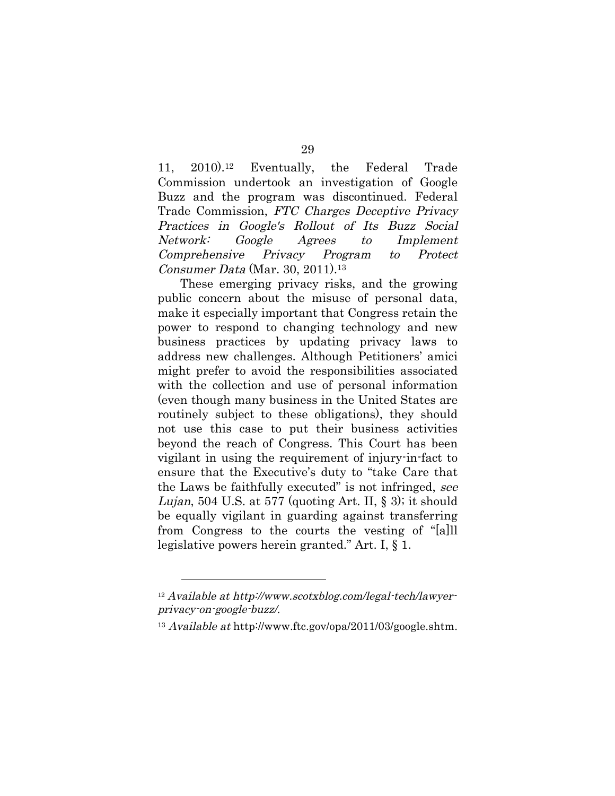11, 2010).12 Eventually, the Federal Trade Commission undertook an investigation of Google Buzz and the program was discontinued. Federal Trade Commission, FTC Charges Deceptive Privacy Practices in Google's Rollout of Its Buzz Social Network: Google Agrees to Implement Comprehensive Privacy Program to Protect Consumer Data (Mar. 30, 2011).13

These emerging privacy risks, and the growing public concern about the misuse of personal data, make it especially important that Congress retain the power to respond to changing technology and new business practices by updating privacy laws to address new challenges. Although Petitioners' amici might prefer to avoid the responsibilities associated with the collection and use of personal information (even though many business in the United States are routinely subject to these obligations), they should not use this case to put their business activities beyond the reach of Congress. This Court has been vigilant in using the requirement of injury-in-fact to ensure that the Executive's duty to "take Care that the Laws be faithfully executed" is not infringed, see *Lujan*, 504 U.S. at 577 (quoting Art. II,  $\S$  3); it should be equally vigilant in guarding against transferring from Congress to the courts the vesting of "[a]ll legislative powers herein granted." Art. I, § 1.

<sup>12</sup> Available at http://www.scotxblog.com/legal-tech/lawyerprivacy-on-google-buzz/.

<sup>13</sup> Available at http://www.ftc.gov/opa/2011/03/google.shtm.